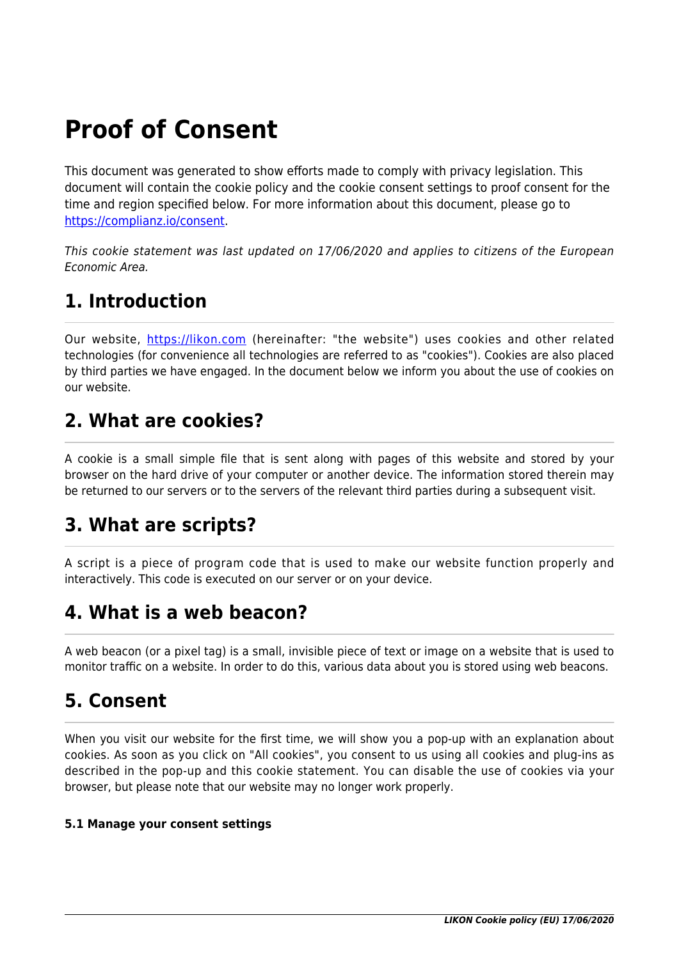# **Proof of Consent**

This document was generated to show efforts made to comply with privacy legislation. This document will contain the cookie policy and the cookie consent settings to proof consent for the time and region specified below. For more information about this document, please go to <https://complianz.io/consent>.

This cookie statement was last updated on 17/06/2020 and applies to citizens of the European Economic Area.

## **1. Introduction**

Our website,<https://likon.com> (hereinafter: "the website") uses cookies and other related technologies (for convenience all technologies are referred to as "cookies"). Cookies are also placed by third parties we have engaged. In the document below we inform you about the use of cookies on our website.

### **2. What are cookies?**

A cookie is a small simple file that is sent along with pages of this website and stored by your browser on the hard drive of your computer or another device. The information stored therein may be returned to our servers or to the servers of the relevant third parties during a subsequent visit.

## **3. What are scripts?**

A script is a piece of program code that is used to make our website function properly and interactively. This code is executed on our server or on your device.

## **4. What is a web beacon?**

A web beacon (or a pixel tag) is a small, invisible piece of text or image on a website that is used to monitor traffic on a website. In order to do this, various data about you is stored using web beacons.

## **5. Consent**

When you visit our website for the first time, we will show you a pop-up with an explanation about cookies. As soon as you click on "All cookies", you consent to us using all cookies and plug-ins as described in the pop-up and this cookie statement. You can disable the use of cookies via your browser, but please note that our website may no longer work properly.

#### **5.1 Manage your consent settings**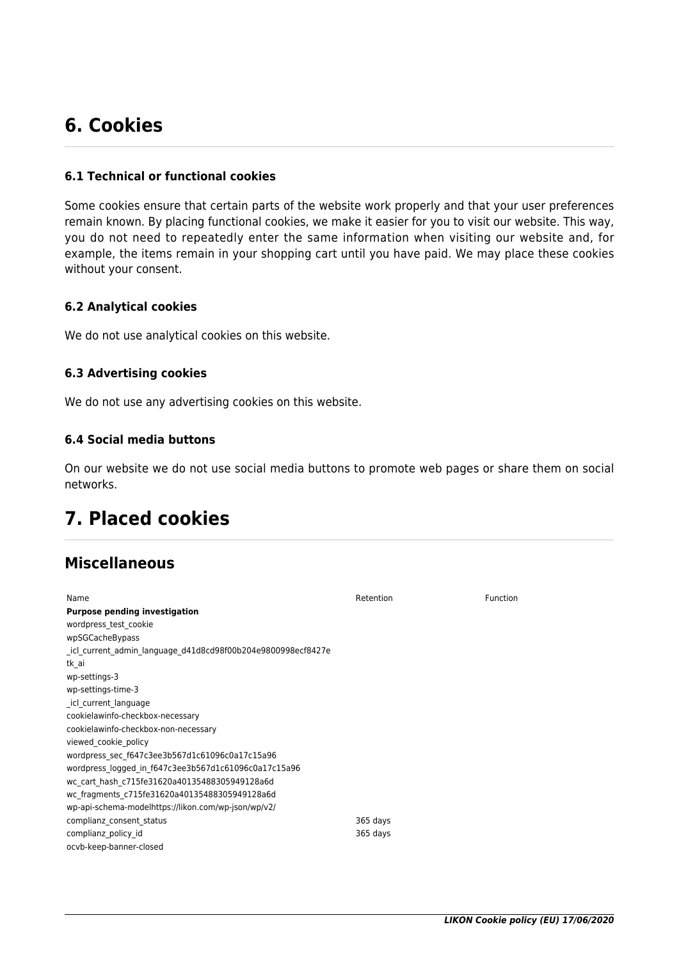## **6. Cookies**

#### **6.1 Technical or functional cookies**

Some cookies ensure that certain parts of the website work properly and that your user preferences remain known. By placing functional cookies, we make it easier for you to visit our website. This way, you do not need to repeatedly enter the same information when visiting our website and, for example, the items remain in your shopping cart until you have paid. We may place these cookies without your consent.

#### **6.2 Analytical cookies**

We do not use analytical cookies on this website.

#### **6.3 Advertising cookies**

We do not use any advertising cookies on this website.

#### **6.4 Social media buttons**

On our website we do not use social media buttons to promote web pages or share them on social networks.

### **7. Placed cookies**

### **Miscellaneous**

| Name                                                        | Retention | Function |
|-------------------------------------------------------------|-----------|----------|
| <b>Purpose pending investigation</b>                        |           |          |
| wordpress test cookie                                       |           |          |
| wpSGCacheBypass                                             |           |          |
| icl current admin language d41d8cd98f00b204e9800998ecf8427e |           |          |
| tk ai                                                       |           |          |
| wp-settings-3                                               |           |          |
| wp-settings-time-3                                          |           |          |
| icl current language                                        |           |          |
| cookielawinfo-checkbox-necessary                            |           |          |
| cookielawinfo-checkbox-non-necessary                        |           |          |
| viewed cookie policy                                        |           |          |
| wordpress sec f647c3ee3b567d1c61096c0a17c15a96              |           |          |
| wordpress logged in f647c3ee3b567d1c61096c0a17c15a96        |           |          |
| wc cart hash c715fe31620a40135488305949128a6d               |           |          |
| wc fragments c715fe31620a40135488305949128a6d               |           |          |
| wp-api-schema-modelhttps://likon.com/wp-json/wp/v2/         |           |          |
| complianz consent status                                    | 365 days  |          |
| complianz policy id                                         | 365 days  |          |
| ocvb-keep-banner-closed                                     |           |          |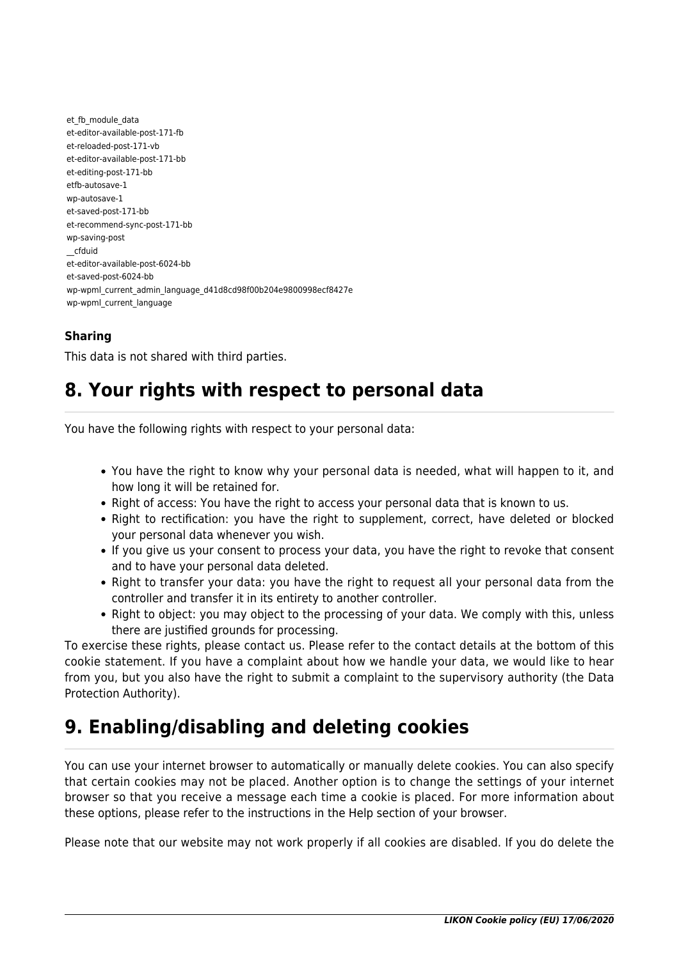et fb module data et-editor-available-post-171-fb et-reloaded-post-171-vb et-editor-available-post-171-bb et-editing-post-171-bb etfb-autosave-1 wp-autosave-1 et-saved-post-171-bb et-recommend-sync-post-171-bb wp-saving-post \_\_cfduid et-editor-available-post-6024-bb et-saved-post-6024-bb wp-wpml\_current\_admin\_language\_d41d8cd98f00b204e9800998ecf8427e wp-wpml\_current\_language

### **Sharing**

This data is not shared with third parties.

### **8. Your rights with respect to personal data**

You have the following rights with respect to your personal data:

- You have the right to know why your personal data is needed, what will happen to it, and how long it will be retained for.
- Right of access: You have the right to access your personal data that is known to us.
- Right to rectification: you have the right to supplement, correct, have deleted or blocked your personal data whenever you wish.
- If you give us your consent to process your data, you have the right to revoke that consent and to have your personal data deleted.
- Right to transfer your data: you have the right to request all your personal data from the controller and transfer it in its entirety to another controller.
- Right to object: you may object to the processing of your data. We comply with this, unless there are justified grounds for processing.

To exercise these rights, please contact us. Please refer to the contact details at the bottom of this cookie statement. If you have a complaint about how we handle your data, we would like to hear from you, but you also have the right to submit a complaint to the supervisory authority (the Data Protection Authority).

## **9. Enabling/disabling and deleting cookies**

You can use your internet browser to automatically or manually delete cookies. You can also specify that certain cookies may not be placed. Another option is to change the settings of your internet browser so that you receive a message each time a cookie is placed. For more information about these options, please refer to the instructions in the Help section of your browser.

Please note that our website may not work properly if all cookies are disabled. If you do delete the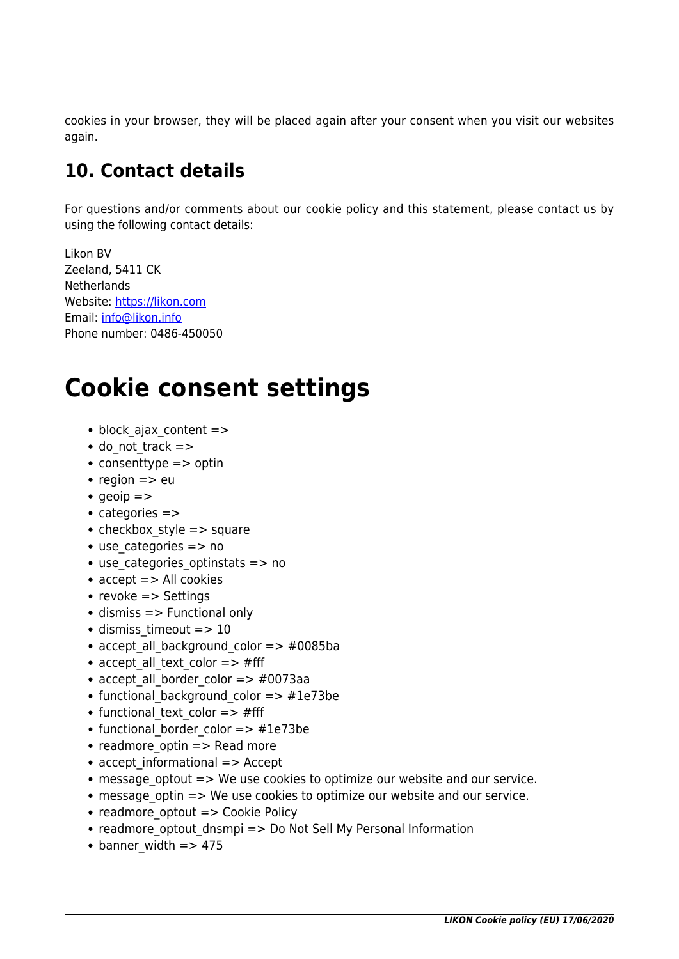cookies in your browser, they will be placed again after your consent when you visit our websites again.

## **10. Contact details**

For questions and/or comments about our cookie policy and this statement, please contact us by using the following contact details:

Likon BV Zeeland, 5411 CK **Netherlands** Website:<https://likon.com> Email: [info@likon.info](#page--1-0) Phone number: 0486-450050

# **Cookie consent settings**

- block ajax content =>
- $\bullet$  do not track  $=$  >
- $\bullet$  consenttype  $\Rightarrow$  optin
- $reqion \Rightarrow eu$
- $q$  aeoip  $=$
- categories =>
- checkbox style  $=$  > square
- $\bullet$  use categories  $\Rightarrow$  no
- use categories optinstats => no
- $\bullet$  accept  $\Rightarrow$  All cookies
- revoke  $\Rightarrow$  Settings
- $\bullet$  dismiss  $\Rightarrow$  Functional only
- $\bullet$  dismiss timeout => 10
- accept all background color  $=$   $>$   $\#0085$ ba
- accept all text color  $=$   $\neq$  fff
- accept all border color  $=>$  #0073aa
- functional background color => #1e73be
- functional text color  $=$   $>$  #fff
- functional border color  $=>$  #1e73be
- readmore optin  $=>$  Read more
- accept informational => Accept
- message optout  $\Rightarrow$  We use cookies to optimize our website and our service.
- message optin => We use cookies to optimize our website and our service.
- readmore optout => Cookie Policy
- readmore optout dnsmpi => Do Not Sell My Personal Information
- $\bullet$  banner width => 475